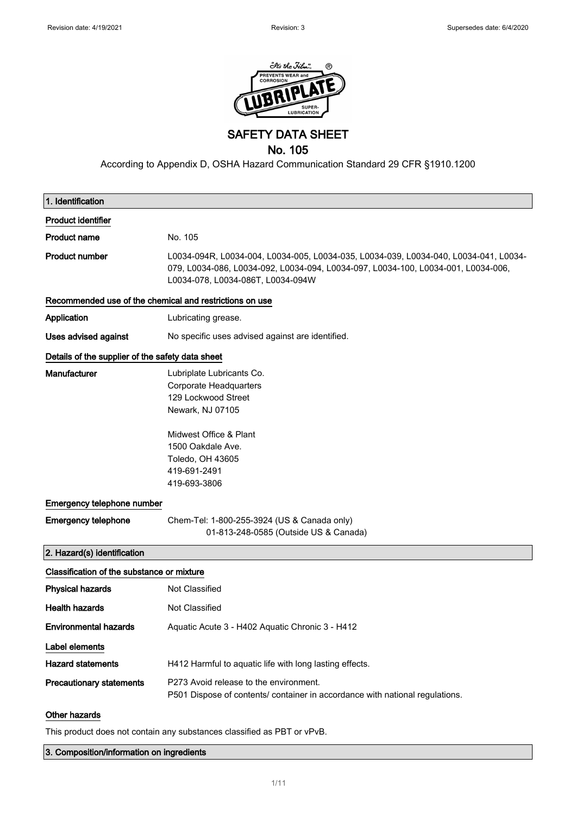

SAFETY DATA SHEET

# No. 105

According to Appendix D, OSHA Hazard Communication Standard 29 CFR §1910.1200

| 1. Identification                                       |                                                                                                                                                                                                                |
|---------------------------------------------------------|----------------------------------------------------------------------------------------------------------------------------------------------------------------------------------------------------------------|
| <b>Product identifier</b>                               |                                                                                                                                                                                                                |
| <b>Product name</b>                                     | No. 105                                                                                                                                                                                                        |
| <b>Product number</b>                                   | L0034-094R, L0034-004, L0034-005, L0034-035, L0034-039, L0034-040, L0034-041, L0034-<br>079, L0034-086, L0034-092, L0034-094, L0034-097, L0034-100, L0034-001, L0034-006,<br>L0034-078, L0034-086T, L0034-094W |
| Recommended use of the chemical and restrictions on use |                                                                                                                                                                                                                |
| Application                                             | Lubricating grease.                                                                                                                                                                                            |
| Uses advised against                                    | No specific uses advised against are identified.                                                                                                                                                               |
| Details of the supplier of the safety data sheet        |                                                                                                                                                                                                                |
| <b>Manufacturer</b>                                     | Lubriplate Lubricants Co.<br>Corporate Headquarters<br>129 Lockwood Street<br>Newark, NJ 07105<br>Midwest Office & Plant<br>1500 Oakdale Ave.<br>Toledo, OH 43605<br>419-691-2491<br>419-693-3806              |
| Emergency telephone number                              |                                                                                                                                                                                                                |
| <b>Emergency telephone</b>                              | Chem-Tel: 1-800-255-3924 (US & Canada only)<br>01-813-248-0585 (Outside US & Canada)                                                                                                                           |
| 2. Hazard(s) identification                             |                                                                                                                                                                                                                |
| Classification of the substance or mixture              |                                                                                                                                                                                                                |
| <b>Physical hazards</b>                                 | Not Classified                                                                                                                                                                                                 |
| <b>Health hazards</b>                                   | Not Classified                                                                                                                                                                                                 |
| <b>Environmental hazards</b>                            | Aquatic Acute 3 - H402 Aquatic Chronic 3 - H412                                                                                                                                                                |
| Label elements                                          |                                                                                                                                                                                                                |
| <b>Hazard statements</b>                                | H412 Harmful to aquatic life with long lasting effects.                                                                                                                                                        |
| <b>Precautionary statements</b>                         | P273 Avoid release to the environment.<br>P501 Dispose of contents/ container in accordance with national regulations.                                                                                         |
| Other hazards                                           |                                                                                                                                                                                                                |

This product does not contain any substances classified as PBT or vPvB.

3. Composition/information on ingredients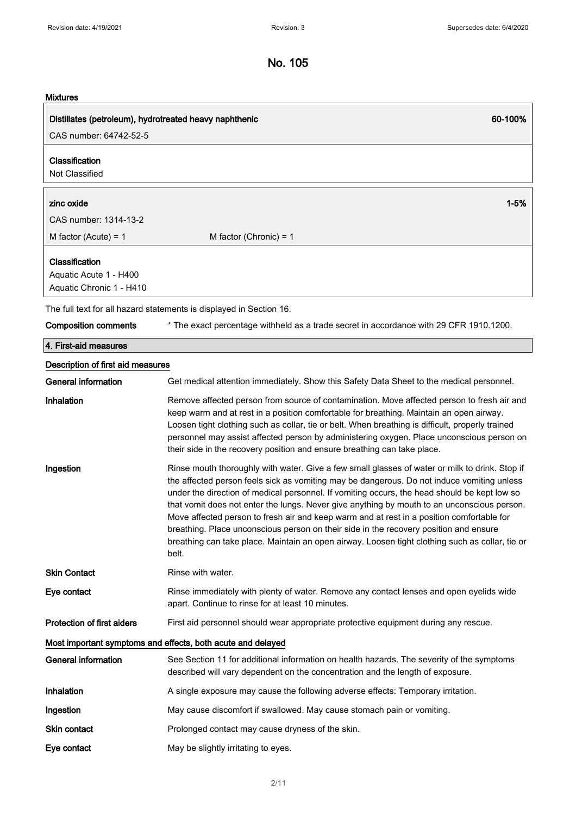## Mixtures

| <b>MIXTURES</b>                                                      |                                                                                                                                                                                                                                                                                                                                                                                                                                                                                                                                                                                                                                                                                               |
|----------------------------------------------------------------------|-----------------------------------------------------------------------------------------------------------------------------------------------------------------------------------------------------------------------------------------------------------------------------------------------------------------------------------------------------------------------------------------------------------------------------------------------------------------------------------------------------------------------------------------------------------------------------------------------------------------------------------------------------------------------------------------------|
| Distillates (petroleum), hydrotreated heavy naphthenic               | 60-100%                                                                                                                                                                                                                                                                                                                                                                                                                                                                                                                                                                                                                                                                                       |
| CAS number: 64742-52-5                                               |                                                                                                                                                                                                                                                                                                                                                                                                                                                                                                                                                                                                                                                                                               |
| Classification<br>Not Classified                                     |                                                                                                                                                                                                                                                                                                                                                                                                                                                                                                                                                                                                                                                                                               |
|                                                                      |                                                                                                                                                                                                                                                                                                                                                                                                                                                                                                                                                                                                                                                                                               |
| zinc oxide<br>CAS number: 1314-13-2                                  | $1 - 5%$                                                                                                                                                                                                                                                                                                                                                                                                                                                                                                                                                                                                                                                                                      |
|                                                                      |                                                                                                                                                                                                                                                                                                                                                                                                                                                                                                                                                                                                                                                                                               |
| M factor (Acute) = $1$                                               | M factor (Chronic) = $1$                                                                                                                                                                                                                                                                                                                                                                                                                                                                                                                                                                                                                                                                      |
| Classification<br>Aquatic Acute 1 - H400<br>Aquatic Chronic 1 - H410 |                                                                                                                                                                                                                                                                                                                                                                                                                                                                                                                                                                                                                                                                                               |
|                                                                      | The full text for all hazard statements is displayed in Section 16.                                                                                                                                                                                                                                                                                                                                                                                                                                                                                                                                                                                                                           |
| <b>Composition comments</b>                                          | * The exact percentage withheld as a trade secret in accordance with 29 CFR 1910.1200.                                                                                                                                                                                                                                                                                                                                                                                                                                                                                                                                                                                                        |
| 4. First-aid measures                                                |                                                                                                                                                                                                                                                                                                                                                                                                                                                                                                                                                                                                                                                                                               |
| Description of first aid measures                                    |                                                                                                                                                                                                                                                                                                                                                                                                                                                                                                                                                                                                                                                                                               |
| <b>General information</b>                                           | Get medical attention immediately. Show this Safety Data Sheet to the medical personnel.                                                                                                                                                                                                                                                                                                                                                                                                                                                                                                                                                                                                      |
| Inhalation                                                           | Remove affected person from source of contamination. Move affected person to fresh air and<br>keep warm and at rest in a position comfortable for breathing. Maintain an open airway.<br>Loosen tight clothing such as collar, tie or belt. When breathing is difficult, properly trained<br>personnel may assist affected person by administering oxygen. Place unconscious person on<br>their side in the recovery position and ensure breathing can take place.                                                                                                                                                                                                                            |
| Ingestion                                                            | Rinse mouth thoroughly with water. Give a few small glasses of water or milk to drink. Stop if<br>the affected person feels sick as vomiting may be dangerous. Do not induce vomiting unless<br>under the direction of medical personnel. If vomiting occurs, the head should be kept low so<br>that vomit does not enter the lungs. Never give anything by mouth to an unconscious person.<br>Move affected person to fresh air and keep warm and at rest in a position comfortable for<br>breathing. Place unconscious person on their side in the recovery position and ensure<br>breathing can take place. Maintain an open airway. Loosen tight clothing such as collar, tie or<br>belt. |
| <b>Skin Contact</b>                                                  | Rinse with water.                                                                                                                                                                                                                                                                                                                                                                                                                                                                                                                                                                                                                                                                             |
| Eye contact                                                          | Rinse immediately with plenty of water. Remove any contact lenses and open eyelids wide<br>apart. Continue to rinse for at least 10 minutes.                                                                                                                                                                                                                                                                                                                                                                                                                                                                                                                                                  |
| <b>Protection of first aiders</b>                                    | First aid personnel should wear appropriate protective equipment during any rescue.                                                                                                                                                                                                                                                                                                                                                                                                                                                                                                                                                                                                           |
|                                                                      | Most important symptoms and effects, both acute and delayed                                                                                                                                                                                                                                                                                                                                                                                                                                                                                                                                                                                                                                   |
| <b>General information</b>                                           | See Section 11 for additional information on health hazards. The severity of the symptoms<br>described will vary dependent on the concentration and the length of exposure.                                                                                                                                                                                                                                                                                                                                                                                                                                                                                                                   |
| Inhalation                                                           | A single exposure may cause the following adverse effects: Temporary irritation.                                                                                                                                                                                                                                                                                                                                                                                                                                                                                                                                                                                                              |

Ingestion May cause discomfort if swallowed. May cause stomach pain or vomiting.

Skin contact **Prolonged contact may cause dryness of the skin.** 

Eye contact May be slightly irritating to eyes.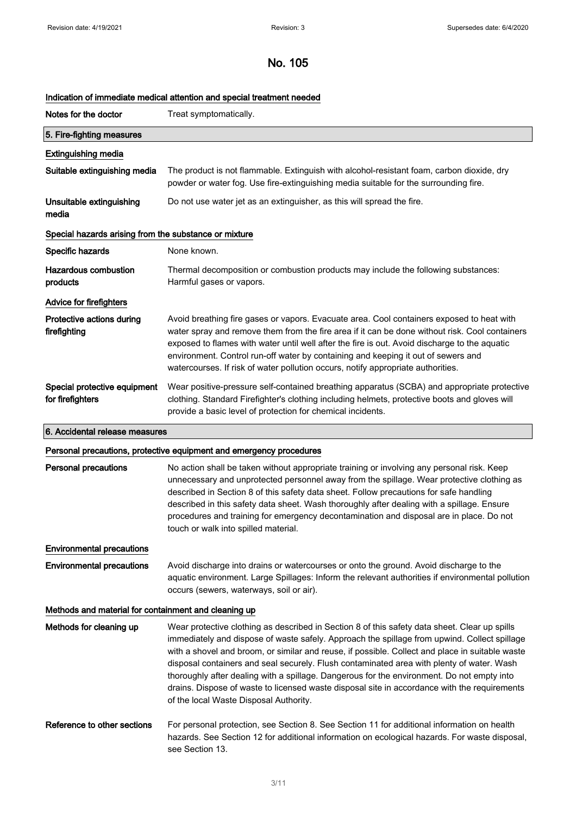## Indication of immediate medical attention and special treatment needed

| Notes for the doctor                                  | Treat symptomatically.                                                                                                                                                                                                                                                                                                                                                                                                                                                |
|-------------------------------------------------------|-----------------------------------------------------------------------------------------------------------------------------------------------------------------------------------------------------------------------------------------------------------------------------------------------------------------------------------------------------------------------------------------------------------------------------------------------------------------------|
| 5. Fire-fighting measures                             |                                                                                                                                                                                                                                                                                                                                                                                                                                                                       |
| <b>Extinguishing media</b>                            |                                                                                                                                                                                                                                                                                                                                                                                                                                                                       |
| Suitable extinguishing media                          | The product is not flammable. Extinguish with alcohol-resistant foam, carbon dioxide, dry<br>powder or water fog. Use fire-extinguishing media suitable for the surrounding fire.                                                                                                                                                                                                                                                                                     |
| Unsuitable extinguishing<br>media                     | Do not use water jet as an extinguisher, as this will spread the fire.                                                                                                                                                                                                                                                                                                                                                                                                |
| Special hazards arising from the substance or mixture |                                                                                                                                                                                                                                                                                                                                                                                                                                                                       |
| Specific hazards                                      | None known.                                                                                                                                                                                                                                                                                                                                                                                                                                                           |
| Hazardous combustion<br>products                      | Thermal decomposition or combustion products may include the following substances:<br>Harmful gases or vapors.                                                                                                                                                                                                                                                                                                                                                        |
| Advice for firefighters                               |                                                                                                                                                                                                                                                                                                                                                                                                                                                                       |
| Protective actions during<br>firefighting             | Avoid breathing fire gases or vapors. Evacuate area. Cool containers exposed to heat with<br>water spray and remove them from the fire area if it can be done without risk. Cool containers<br>exposed to flames with water until well after the fire is out. Avoid discharge to the aquatic<br>environment. Control run-off water by containing and keeping it out of sewers and<br>watercourses. If risk of water pollution occurs, notify appropriate authorities. |
| Special protective equipment<br>for firefighters      | Wear positive-pressure self-contained breathing apparatus (SCBA) and appropriate protective<br>clothing. Standard Firefighter's clothing including helmets, protective boots and gloves will<br>provide a basic level of protection for chemical incidents.                                                                                                                                                                                                           |
| 6. Accidental release measures                        |                                                                                                                                                                                                                                                                                                                                                                                                                                                                       |

### Personal precautions, protective equipment and emergency procedures

|                                                      | processering processes a quipment and conseigning processes a                                                                                                                                                                                                                                                                                                                                                                                                                                                                                                                                                                         |
|------------------------------------------------------|---------------------------------------------------------------------------------------------------------------------------------------------------------------------------------------------------------------------------------------------------------------------------------------------------------------------------------------------------------------------------------------------------------------------------------------------------------------------------------------------------------------------------------------------------------------------------------------------------------------------------------------|
| <b>Personal precautions</b>                          | No action shall be taken without appropriate training or involving any personal risk. Keep<br>unnecessary and unprotected personnel away from the spillage. Wear protective clothing as<br>described in Section 8 of this safety data sheet. Follow precautions for safe handling<br>described in this safety data sheet. Wash thoroughly after dealing with a spillage. Ensure<br>procedures and training for emergency decontamination and disposal are in place. Do not<br>touch or walk into spilled material.                                                                                                                    |
| <b>Environmental precautions</b>                     |                                                                                                                                                                                                                                                                                                                                                                                                                                                                                                                                                                                                                                       |
| <b>Environmental precautions</b>                     | Avoid discharge into drains or watercourses or onto the ground. Avoid discharge to the<br>aquatic environment. Large Spillages: Inform the relevant authorities if environmental pollution<br>occurs (sewers, waterways, soil or air).                                                                                                                                                                                                                                                                                                                                                                                                |
| Methods and material for containment and cleaning up |                                                                                                                                                                                                                                                                                                                                                                                                                                                                                                                                                                                                                                       |
| Methods for cleaning up                              | Wear protective clothing as described in Section 8 of this safety data sheet. Clear up spills<br>immediately and dispose of waste safely. Approach the spillage from upwind. Collect spillage<br>with a shovel and broom, or similar and reuse, if possible. Collect and place in suitable waste<br>disposal containers and seal securely. Flush contaminated area with plenty of water. Wash<br>thoroughly after dealing with a spillage. Dangerous for the environment. Do not empty into<br>drains. Dispose of waste to licensed waste disposal site in accordance with the requirements<br>of the local Waste Disposal Authority. |
| Reference to other sections                          | For personal protection, see Section 8. See Section 11 for additional information on health<br>hazards. See Section 12 for additional information on ecological hazards. For waste disposal,<br>see Section 13.                                                                                                                                                                                                                                                                                                                                                                                                                       |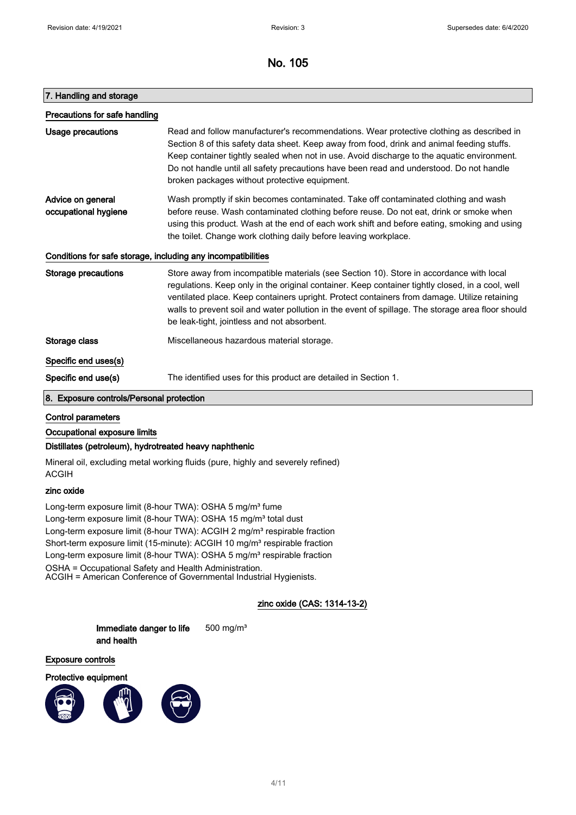### 7. Handling and storage

| Precautions for safe handling             |                                                                                                                                                                                                                                                                                                                                                                                                                                                 |
|-------------------------------------------|-------------------------------------------------------------------------------------------------------------------------------------------------------------------------------------------------------------------------------------------------------------------------------------------------------------------------------------------------------------------------------------------------------------------------------------------------|
| Usage precautions                         | Read and follow manufacturer's recommendations. Wear protective clothing as described in<br>Section 8 of this safety data sheet. Keep away from food, drink and animal feeding stuffs.<br>Keep container tightly sealed when not in use. Avoid discharge to the aquatic environment.<br>Do not handle until all safety precautions have been read and understood. Do not handle<br>broken packages without protective equipment.                |
| Advice on general<br>occupational hygiene | Wash promptly if skin becomes contaminated. Take off contaminated clothing and wash<br>before reuse. Wash contaminated clothing before reuse. Do not eat, drink or smoke when<br>using this product. Wash at the end of each work shift and before eating, smoking and using<br>the toilet. Change work clothing daily before leaving workplace.                                                                                                |
|                                           | Conditions for safe storage, including any incompatibilities                                                                                                                                                                                                                                                                                                                                                                                    |
| Storage precautions                       | Store away from incompatible materials (see Section 10). Store in accordance with local<br>regulations. Keep only in the original container. Keep container tightly closed, in a cool, well<br>ventilated place. Keep containers upright. Protect containers from damage. Utilize retaining<br>walls to prevent soil and water pollution in the event of spillage. The storage area floor should<br>be leak-tight, jointless and not absorbent. |
| Storage class                             | Miscellaneous hazardous material storage.                                                                                                                                                                                                                                                                                                                                                                                                       |
| Specific end uses(s)                      |                                                                                                                                                                                                                                                                                                                                                                                                                                                 |
| Specific end use(s)                       | The identified uses for this product are detailed in Section 1.                                                                                                                                                                                                                                                                                                                                                                                 |

### 8. Exposure controls/Personal protection

### Control parameters

### Occupational exposure limits

### Distillates (petroleum), hydrotreated heavy naphthenic

Mineral oil, excluding metal working fluids (pure, highly and severely refined) ACGIH

## zinc oxide

Long-term exposure limit (8-hour TWA): OSHA 5 mg/m<sup>3</sup> fume Long-term exposure limit (8-hour TWA): OSHA 15 mg/m<sup>3</sup> total dust Long-term exposure limit (8-hour TWA): ACGIH 2 mg/m<sup>3</sup> respirable fraction Short-term exposure limit (15-minute): ACGIH 10 mg/m<sup>3</sup> respirable fraction Long-term exposure limit (8-hour TWA): OSHA 5 mg/m<sup>3</sup> respirable fraction OSHA = Occupational Safety and Health Administration. ACGIH = American Conference of Governmental Industrial Hygienists.

## zinc oxide (CAS: 1314-13-2)

Immediate danger to life and health 500 mg/m³

#### Exposure controls

Protective equipment

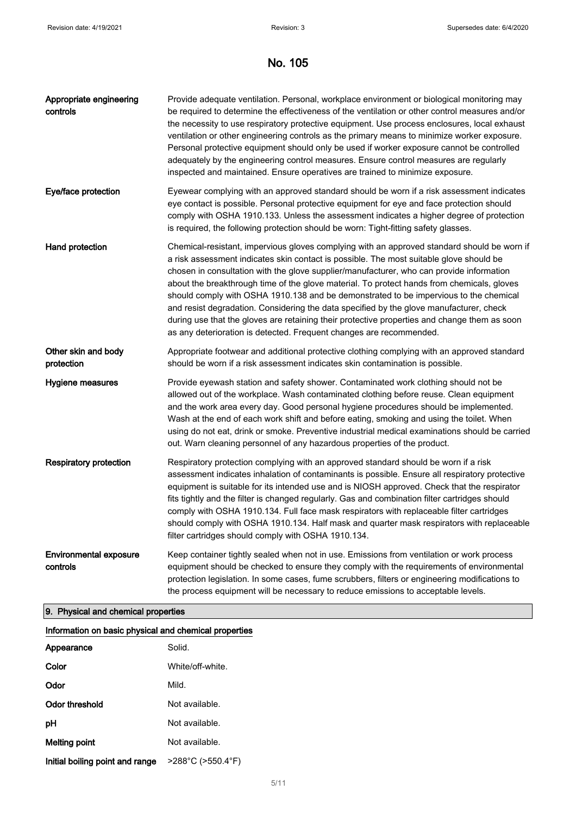| Appropriate engineering<br>controls       | Provide adequate ventilation. Personal, workplace environment or biological monitoring may<br>be required to determine the effectiveness of the ventilation or other control measures and/or<br>the necessity to use respiratory protective equipment. Use process enclosures, local exhaust<br>ventilation or other engineering controls as the primary means to minimize worker exposure.<br>Personal protective equipment should only be used if worker exposure cannot be controlled<br>adequately by the engineering control measures. Ensure control measures are regularly<br>inspected and maintained. Ensure operatives are trained to minimize exposure.                                                                          |
|-------------------------------------------|---------------------------------------------------------------------------------------------------------------------------------------------------------------------------------------------------------------------------------------------------------------------------------------------------------------------------------------------------------------------------------------------------------------------------------------------------------------------------------------------------------------------------------------------------------------------------------------------------------------------------------------------------------------------------------------------------------------------------------------------|
| Eye/face protection                       | Eyewear complying with an approved standard should be worn if a risk assessment indicates<br>eye contact is possible. Personal protective equipment for eye and face protection should<br>comply with OSHA 1910.133. Unless the assessment indicates a higher degree of protection<br>is required, the following protection should be worn: Tight-fitting safety glasses.                                                                                                                                                                                                                                                                                                                                                                   |
| Hand protection                           | Chemical-resistant, impervious gloves complying with an approved standard should be worn if<br>a risk assessment indicates skin contact is possible. The most suitable glove should be<br>chosen in consultation with the glove supplier/manufacturer, who can provide information<br>about the breakthrough time of the glove material. To protect hands from chemicals, gloves<br>should comply with OSHA 1910.138 and be demonstrated to be impervious to the chemical<br>and resist degradation. Considering the data specified by the glove manufacturer, check<br>during use that the gloves are retaining their protective properties and change them as soon<br>as any deterioration is detected. Frequent changes are recommended. |
| Other skin and body<br>protection         | Appropriate footwear and additional protective clothing complying with an approved standard<br>should be worn if a risk assessment indicates skin contamination is possible.                                                                                                                                                                                                                                                                                                                                                                                                                                                                                                                                                                |
| Hygiene measures                          | Provide eyewash station and safety shower. Contaminated work clothing should not be<br>allowed out of the workplace. Wash contaminated clothing before reuse. Clean equipment<br>and the work area every day. Good personal hygiene procedures should be implemented.<br>Wash at the end of each work shift and before eating, smoking and using the toilet. When<br>using do not eat, drink or smoke. Preventive industrial medical examinations should be carried<br>out. Warn cleaning personnel of any hazardous properties of the product.                                                                                                                                                                                             |
| <b>Respiratory protection</b>             | Respiratory protection complying with an approved standard should be worn if a risk<br>assessment indicates inhalation of contaminants is possible. Ensure all respiratory protective<br>equipment is suitable for its intended use and is NIOSH approved. Check that the respirator<br>fits tightly and the filter is changed regularly. Gas and combination filter cartridges should<br>comply with OSHA 1910.134. Full face mask respirators with replaceable filter cartridges<br>should comply with OSHA 1910.134. Half mask and quarter mask respirators with replaceable<br>filter cartridges should comply with OSHA 1910.134.                                                                                                      |
| <b>Environmental exposure</b><br>controls | Keep container tightly sealed when not in use. Emissions from ventilation or work process<br>equipment should be checked to ensure they comply with the requirements of environmental<br>protection legislation. In some cases, fume scrubbers, filters or engineering modifications to<br>the process equipment will be necessary to reduce emissions to acceptable levels.                                                                                                                                                                                                                                                                                                                                                                |

# 9. Physical and chemical properties

| Information on basic physical and chemical properties |                                        |
|-------------------------------------------------------|----------------------------------------|
| Appearance                                            | Solid.                                 |
| Color                                                 | White/off-white                        |
| Odor                                                  | Mild.                                  |
| Odor threshold                                        | Not available.                         |
| рH                                                    | Not available.                         |
| Melting point                                         | Not available.                         |
| Initial boiling point and range                       | $>288^{\circ}$ C ( $>550.4^{\circ}$ F) |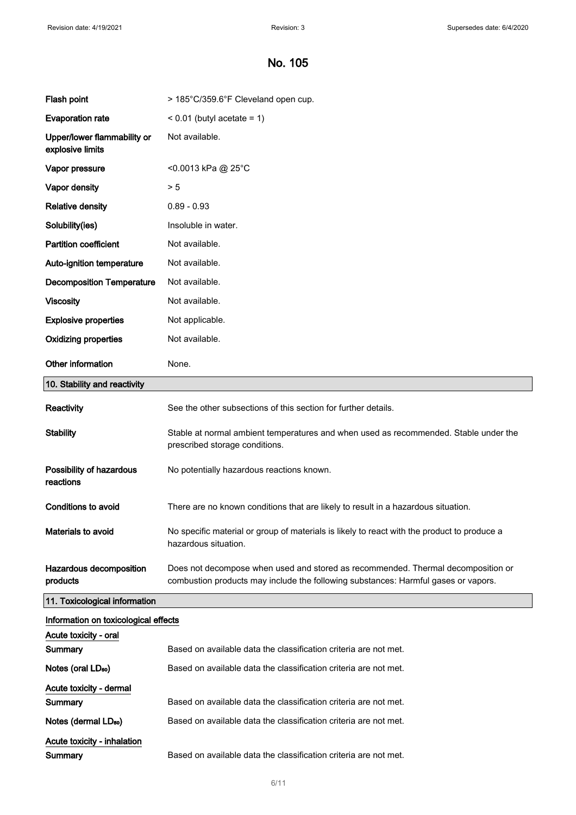# No. 105

| Flash point                                     | > 185°C/359.6°F Cleveland open cup.                                                                                                                                    |
|-------------------------------------------------|------------------------------------------------------------------------------------------------------------------------------------------------------------------------|
| <b>Evaporation rate</b>                         | $< 0.01$ (butyl acetate = 1)                                                                                                                                           |
| Upper/lower flammability or<br>explosive limits | Not available.                                                                                                                                                         |
| Vapor pressure                                  | <0.0013 kPa @ 25°C                                                                                                                                                     |
| Vapor density                                   | > 5                                                                                                                                                                    |
| <b>Relative density</b>                         | $0.89 - 0.93$                                                                                                                                                          |
| Solubility(ies)                                 | Insoluble in water.                                                                                                                                                    |
| <b>Partition coefficient</b>                    | Not available.                                                                                                                                                         |
| Auto-ignition temperature                       | Not available.                                                                                                                                                         |
| <b>Decomposition Temperature</b>                | Not available.                                                                                                                                                         |
| <b>Viscosity</b>                                | Not available.                                                                                                                                                         |
| <b>Explosive properties</b>                     | Not applicable.                                                                                                                                                        |
| <b>Oxidizing properties</b>                     | Not available.                                                                                                                                                         |
| Other information                               | None.                                                                                                                                                                  |
| 10. Stability and reactivity                    |                                                                                                                                                                        |
| <b>Reactivity</b>                               | See the other subsections of this section for further details.                                                                                                         |
| <b>Stability</b>                                | Stable at normal ambient temperatures and when used as recommended. Stable under the<br>prescribed storage conditions.                                                 |
| Possibility of hazardous<br>reactions           | No potentially hazardous reactions known.                                                                                                                              |
| Conditions to avoid                             | There are no known conditions that are likely to result in a hazardous situation.                                                                                      |
| Materials to avoid                              | No specific material or group of materials is likely to react with the product to produce a<br>hazardous situation.                                                    |
| Hazardous decomposition<br>products             | Does not decompose when used and stored as recommended. Thermal decomposition or<br>combustion products may include the following substances: Harmful gases or vapors. |
| 11. Toxicological information                   |                                                                                                                                                                        |
| Information on toxicological effects            |                                                                                                                                                                        |
| Acute toxicity - oral                           |                                                                                                                                                                        |
| Summary                                         | Based on available data the classification criteria are not met.                                                                                                       |
| Notes (oral LD <sub>50</sub> )                  | Based on available data the classification criteria are not met.                                                                                                       |
| Acute toxicity - dermal                         |                                                                                                                                                                        |
| Summary                                         | Based on available data the classification criteria are not met.                                                                                                       |
| Notes (dermal LD <sub>50</sub> )                | Based on available data the classification criteria are not met.                                                                                                       |
| <b>Acute toxicity - inhalation</b><br>Summary   | Based on available data the classification criteria are not met.                                                                                                       |
|                                                 |                                                                                                                                                                        |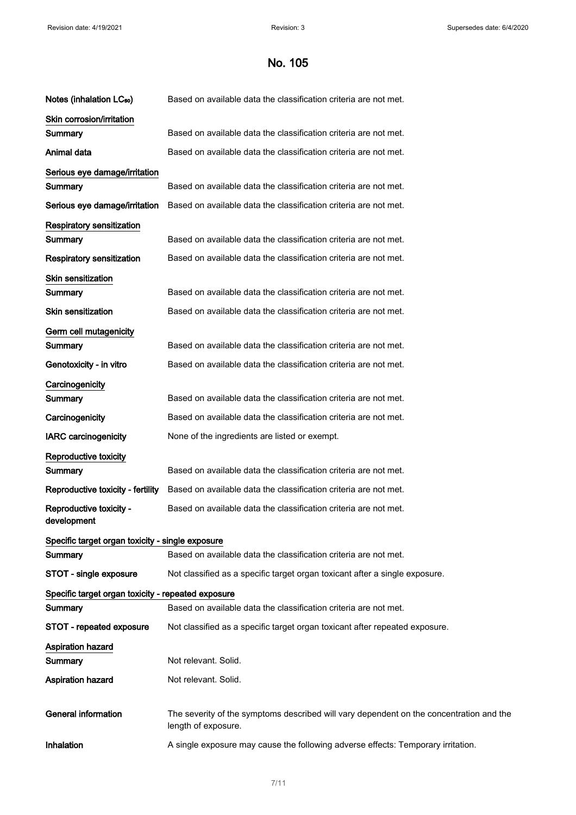| The severity of the symptoms described will vary dependent on the concentration and the |
|-----------------------------------------------------------------------------------------|
|                                                                                         |
|                                                                                         |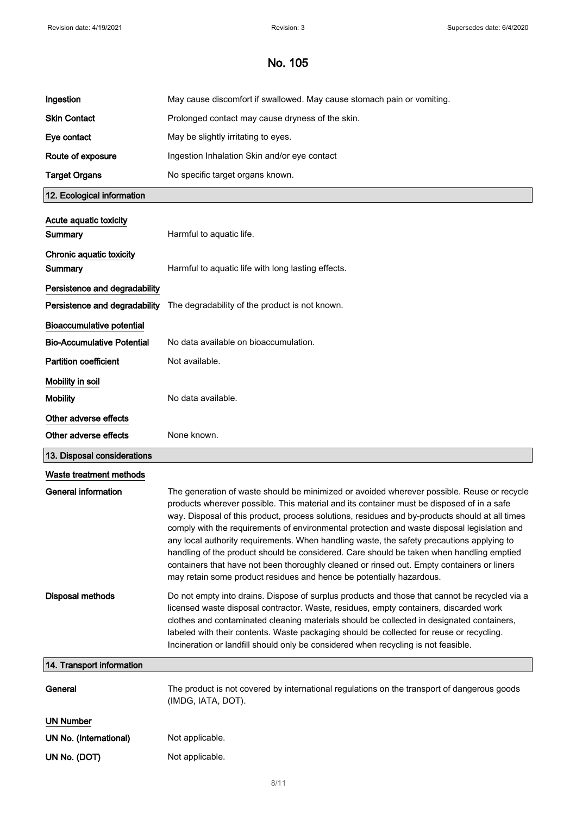| Ingestion                           | May cause discomfort if swallowed. May cause stomach pain or vomiting.                                                                                                                                                                                                                                                                                                                                                                                                                                                                                                                                                                                                                                                                                  |
|-------------------------------------|---------------------------------------------------------------------------------------------------------------------------------------------------------------------------------------------------------------------------------------------------------------------------------------------------------------------------------------------------------------------------------------------------------------------------------------------------------------------------------------------------------------------------------------------------------------------------------------------------------------------------------------------------------------------------------------------------------------------------------------------------------|
| <b>Skin Contact</b>                 | Prolonged contact may cause dryness of the skin.                                                                                                                                                                                                                                                                                                                                                                                                                                                                                                                                                                                                                                                                                                        |
| Eye contact                         | May be slightly irritating to eyes.                                                                                                                                                                                                                                                                                                                                                                                                                                                                                                                                                                                                                                                                                                                     |
| Route of exposure                   | Ingestion Inhalation Skin and/or eye contact                                                                                                                                                                                                                                                                                                                                                                                                                                                                                                                                                                                                                                                                                                            |
| <b>Target Organs</b>                | No specific target organs known.                                                                                                                                                                                                                                                                                                                                                                                                                                                                                                                                                                                                                                                                                                                        |
| 12. Ecological information          |                                                                                                                                                                                                                                                                                                                                                                                                                                                                                                                                                                                                                                                                                                                                                         |
| Acute aquatic toxicity<br>Summary   | Harmful to aquatic life.                                                                                                                                                                                                                                                                                                                                                                                                                                                                                                                                                                                                                                                                                                                                |
| Chronic aquatic toxicity<br>Summary | Harmful to aquatic life with long lasting effects.                                                                                                                                                                                                                                                                                                                                                                                                                                                                                                                                                                                                                                                                                                      |
| Persistence and degradability       |                                                                                                                                                                                                                                                                                                                                                                                                                                                                                                                                                                                                                                                                                                                                                         |
| Persistence and degradability       | The degradability of the product is not known.                                                                                                                                                                                                                                                                                                                                                                                                                                                                                                                                                                                                                                                                                                          |
| <b>Bioaccumulative potential</b>    |                                                                                                                                                                                                                                                                                                                                                                                                                                                                                                                                                                                                                                                                                                                                                         |
| <b>Bio-Accumulative Potential</b>   | No data available on bioaccumulation.                                                                                                                                                                                                                                                                                                                                                                                                                                                                                                                                                                                                                                                                                                                   |
| <b>Partition coefficient</b>        | Not available.                                                                                                                                                                                                                                                                                                                                                                                                                                                                                                                                                                                                                                                                                                                                          |
| Mobility in soil                    |                                                                                                                                                                                                                                                                                                                                                                                                                                                                                                                                                                                                                                                                                                                                                         |
| <b>Mobility</b>                     | No data available.                                                                                                                                                                                                                                                                                                                                                                                                                                                                                                                                                                                                                                                                                                                                      |
| Other adverse effects               |                                                                                                                                                                                                                                                                                                                                                                                                                                                                                                                                                                                                                                                                                                                                                         |
|                                     |                                                                                                                                                                                                                                                                                                                                                                                                                                                                                                                                                                                                                                                                                                                                                         |
| Other adverse effects               | None known.                                                                                                                                                                                                                                                                                                                                                                                                                                                                                                                                                                                                                                                                                                                                             |
| 13. Disposal considerations         |                                                                                                                                                                                                                                                                                                                                                                                                                                                                                                                                                                                                                                                                                                                                                         |
| Waste treatment methods             |                                                                                                                                                                                                                                                                                                                                                                                                                                                                                                                                                                                                                                                                                                                                                         |
| <b>General information</b>          | The generation of waste should be minimized or avoided wherever possible. Reuse or recycle<br>products wherever possible. This material and its container must be disposed of in a safe<br>way. Disposal of this product, process solutions, residues and by-products should at all times<br>comply with the requirements of environmental protection and waste disposal legislation and<br>any local authority requirements. When handling waste, the safety precautions applying to<br>handling of the product should be considered. Care should be taken when handling emptied<br>containers that have not been thoroughly cleaned or rinsed out. Empty containers or liners<br>may retain some product residues and hence be potentially hazardous. |
| <b>Disposal methods</b>             | Do not empty into drains. Dispose of surplus products and those that cannot be recycled via a<br>licensed waste disposal contractor. Waste, residues, empty containers, discarded work<br>clothes and contaminated cleaning materials should be collected in designated containers,<br>labeled with their contents. Waste packaging should be collected for reuse or recycling.<br>Incineration or landfill should only be considered when recycling is not feasible.                                                                                                                                                                                                                                                                                   |
| 14. Transport information           |                                                                                                                                                                                                                                                                                                                                                                                                                                                                                                                                                                                                                                                                                                                                                         |
| General                             | The product is not covered by international regulations on the transport of dangerous goods<br>(IMDG, IATA, DOT).                                                                                                                                                                                                                                                                                                                                                                                                                                                                                                                                                                                                                                       |
| <b>UN Number</b>                    |                                                                                                                                                                                                                                                                                                                                                                                                                                                                                                                                                                                                                                                                                                                                                         |
| UN No. (International)              | Not applicable.                                                                                                                                                                                                                                                                                                                                                                                                                                                                                                                                                                                                                                                                                                                                         |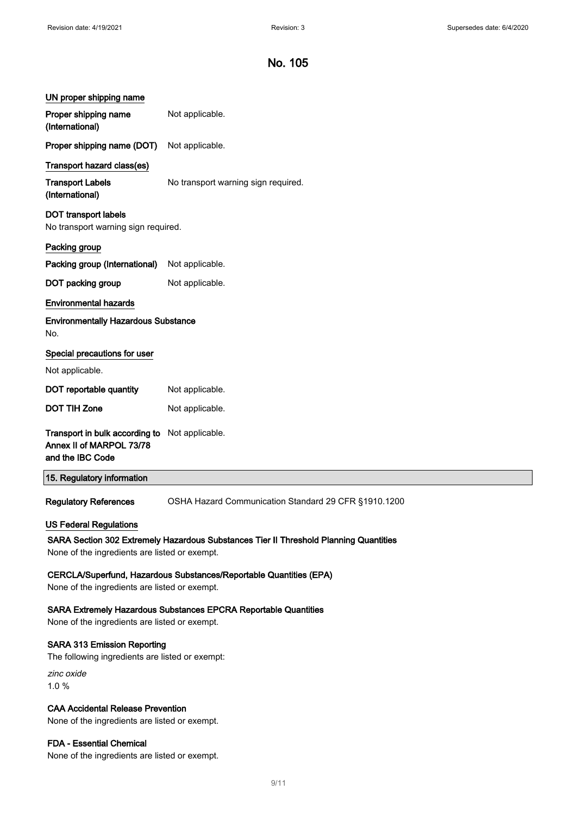| UN proper shipping name                                                                                                                                                 |                                                      |  |
|-------------------------------------------------------------------------------------------------------------------------------------------------------------------------|------------------------------------------------------|--|
| Proper shipping name<br>(International)                                                                                                                                 | Not applicable.                                      |  |
| Proper shipping name (DOT)                                                                                                                                              | Not applicable.                                      |  |
| Transport hazard class(es)                                                                                                                                              |                                                      |  |
| <b>Transport Labels</b><br>(International)                                                                                                                              | No transport warning sign required.                  |  |
| <b>DOT transport labels</b><br>No transport warning sign required.                                                                                                      |                                                      |  |
| Packing group                                                                                                                                                           |                                                      |  |
| Packing group (International)                                                                                                                                           | Not applicable.                                      |  |
| DOT packing group                                                                                                                                                       | Not applicable.                                      |  |
| <b>Environmental hazards</b>                                                                                                                                            |                                                      |  |
| <b>Environmentally Hazardous Substance</b><br>No.                                                                                                                       |                                                      |  |
| Special precautions for user                                                                                                                                            |                                                      |  |
| Not applicable.                                                                                                                                                         |                                                      |  |
| DOT reportable quantity                                                                                                                                                 | Not applicable.                                      |  |
| <b>DOT TIH Zone</b>                                                                                                                                                     | Not applicable.                                      |  |
| Transport in bulk according to<br>Annex II of MARPOL 73/78<br>and the IBC Code                                                                                          | Not applicable.                                      |  |
| 15. Regulatory information                                                                                                                                              |                                                      |  |
| <b>Regulatory References</b>                                                                                                                                            | OSHA Hazard Communication Standard 29 CFR §1910.1200 |  |
| <b>US Federal Regulations</b><br>SARA Section 302 Extremely Hazardous Substances Tier II Threshold Planning Quantities<br>None of the ingredients are listed or exempt. |                                                      |  |
| CERCLA/Superfund, Hazardous Substances/Reportable Quantities (EPA)<br>None of the ingredients are listed or exempt.                                                     |                                                      |  |
| <b>SARA Extremely Hazardous Substances EPCRA Reportable Quantities</b><br>None of the ingredients are listed or exempt.                                                 |                                                      |  |
| <b>SARA 313 Emission Reporting</b><br>The following ingredients are listed or exempt:                                                                                   |                                                      |  |
| zinc oxide<br>1.0%                                                                                                                                                      |                                                      |  |
| <b>CAA Accidental Release Prevention</b><br>None of the ingredients are listed or exempt.                                                                               |                                                      |  |

FDA - Essential Chemical

None of the ingredients are listed or exempt.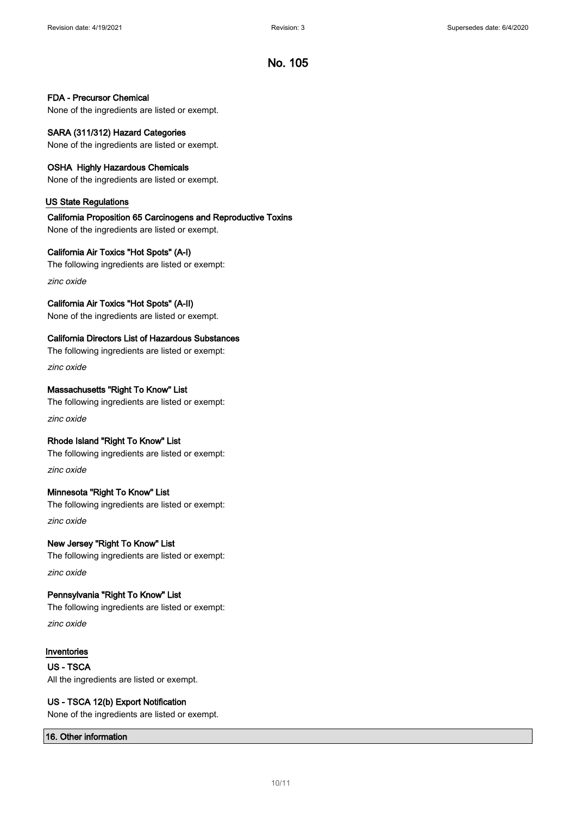### FDA - Precursor Chemical

None of the ingredients are listed or exempt.

## SARA (311/312) Hazard Categories

None of the ingredients are listed or exempt.

### OSHA Highly Hazardous Chemicals

None of the ingredients are listed or exempt.

### US State Regulations

## California Proposition 65 Carcinogens and Reproductive Toxins

None of the ingredients are listed or exempt.

### California Air Toxics "Hot Spots" (A-I)

The following ingredients are listed or exempt:

zinc oxide

## California Air Toxics "Hot Spots" (A-II)

None of the ingredients are listed or exempt.

### California Directors List of Hazardous Substances

The following ingredients are listed or exempt: zinc oxide

### Massachusetts "Right To Know" List

The following ingredients are listed or exempt: zinc oxide

### Rhode Island "Right To Know" List

The following ingredients are listed or exempt: zinc oxide

## Minnesota "Right To Know" List

The following ingredients are listed or exempt: zinc oxide

# New Jersey "Right To Know" List The following ingredients are listed or exempt:

zinc oxide

## Pennsylvania "Right To Know" List

The following ingredients are listed or exempt:

zinc oxide

### Inventories

US - TSCA All the ingredients are listed or exempt.

### US - TSCA 12(b) Export Notification

None of the ingredients are listed or exempt.

### 16. Other information